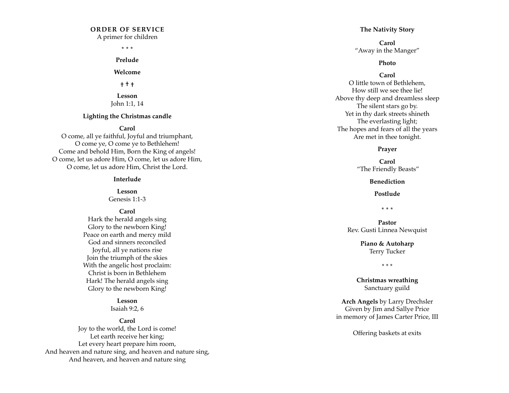## **ORDER OF SERVICE**

A primer for children

**\* \* \***

**Prelude** 

**Welcome**

**† † †** 

**Lesson** John 1:1, 14

#### **Lighting the Christmas candle**

#### **Carol**

O come, all ye faithful, Joyful and triumphant, O come ye, O come ye to Bethlehem! Come and behold Him, Born the King of angels! O come, let us adore Him, O come, let us adore Him, O come, let us adore Him, Christ the Lord.

#### **Interlude**

**Lesson** 

Genesis 1:1-3

**Carol**

Hark the herald angels sing Glory to the newborn King! Peace on earth and mercy mild God and sinners reconciled Joyful, all ye nations rise Join the triumph of the skies With the angelic host proclaim: Christ is born in Bethlehem Hark! The herald angels sing Glory to the newborn King!

#### **Lesson** Isaiah 9:2, 6

#### **Carol**

Joy to the world, the Lord is come! Let earth receive her king; Let every heart prepare him room, And heaven and nature sing, and heaven and nature sing, And heaven, and heaven and nature sing

#### **The Nativity Story**

**Carol**  "Away in the Manger"

#### **Photo**

#### **Carol**

O little town of Bethlehem, How still we see thee lie! Above thy deep and dreamless sleep The silent stars go by. Yet in thy dark streets shineth The everlasting light; The hopes and fears of all the years Are met in thee tonight.

#### **Prayer**

**Carol** "The Friendly Beasts"

#### **Benediction**

**Postlude**

**\* \* \***

**Pastor** Rev. Gusti Linnea Newquist

> **Piano & Autoharp**  Terry Tucker

> > \* \* \*

**Christmas wreathing** Sanctuary guild

**Arch Angels** by Larry Drechsler Given by Jim and Sallye Price in memory of James Carter Price, III

Offering baskets at exits